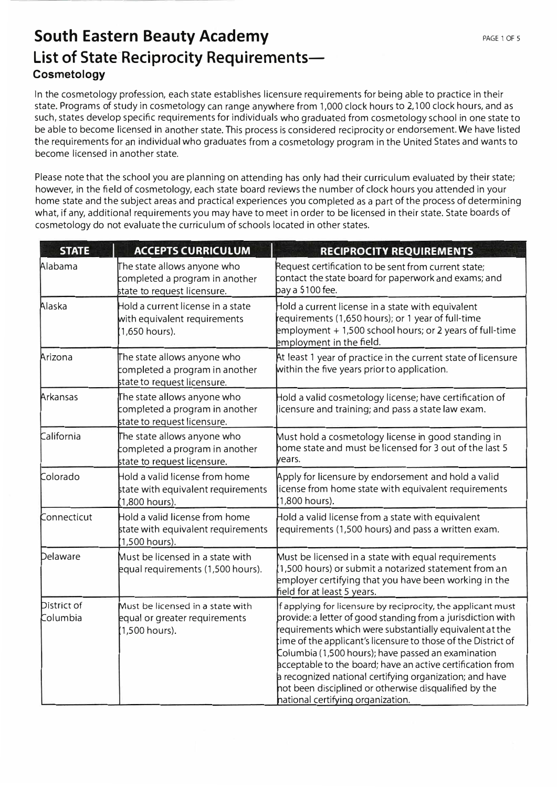In the cosmetology profession, each state establishes licensure requirements for being able to practice in their state. Programs of study in cosmetology can range anywhere from 1,000 clock hours to 2,100 clock hours, and as such, states develop specific requirements for individuals who graduated from cosmetology school in one state to be able to become licensed in another state. This process is considered reciprocity or endorsement. We have listed the requirements for an individual who graduates from a cosmetology program in the United States and wants to become licensed in another state.

Please note that the school you are planning on attending has only had their curriculum evaluated by their state; however, in the field of cosmetology, each state board reviews the number of clock hours you attended in your home state and the subject areas and practical experiences you completed as a part of the process of determining what, if any, additional requirements you may have to meet in order to be licensed in their state. State boards of cosmetology do not evaluate the curriculum of schools located in other states.

## List of State Reciprocity Requirements**cosmetology South Eastern Beauty Academy**

| <b>STATE</b>            | ACCEPTS CURRICULUM                                                                           | RECIPROCITY REQUIREMENTS                                                                                                                                                                                                                                                                                                                                                                                                                                                                                                               |  |
|-------------------------|----------------------------------------------------------------------------------------------|----------------------------------------------------------------------------------------------------------------------------------------------------------------------------------------------------------------------------------------------------------------------------------------------------------------------------------------------------------------------------------------------------------------------------------------------------------------------------------------------------------------------------------------|--|
| Alabama                 | The state allows anyone who<br>completed a program in another<br>state to request licensure. | Request certification to be sent from current state;<br>contact the state board for paperwork and exams; and<br>pay a \$100 fee.                                                                                                                                                                                                                                                                                                                                                                                                       |  |
| Alaska                  | Hold a current license in a state<br>with equivalent requirements<br>(1,650 hours).          | Hold a current license in a state with equivalent<br>requirements (1,650 hours); or 1 year of full-time<br>employment $+1,500$ school hours; or 2 years of full-time<br>employment in the field.                                                                                                                                                                                                                                                                                                                                       |  |
| Arizona                 | The state allows anyone who<br>completed a program in another<br>state to request licensure. | At least 1 year of practice in the current state of licensure<br>within the five years prior to application.                                                                                                                                                                                                                                                                                                                                                                                                                           |  |
| Arkansas                | The state allows anyone who<br>completed a program in another<br>state to request licensure. | Hold a valid cosmetology license; have certification of<br>licensure and training; and pass a state law exam.                                                                                                                                                                                                                                                                                                                                                                                                                          |  |
| <b>California</b>       | The state allows anyone who<br>completed a program in another<br>state to request licensure. | Must hold a cosmetology license in good standing in<br>home state and must be licensed for 3 out of the last 5<br>lyears.                                                                                                                                                                                                                                                                                                                                                                                                              |  |
| Colorado                | Hold a valid license from home<br>state with equivalent requirements<br>(1,800 hours).       | Apply for licensure by endorsement and hold a valid<br>license from home state with equivalent requirements<br>(1,800 hours).                                                                                                                                                                                                                                                                                                                                                                                                          |  |
| Connecticut             | Hold a valid license from home<br>state with equivalent requirements<br>$(1,500$ hours).     | Hold a valid license from a state with equivalent<br>requirements (1,500 hours) and pass a written exam.                                                                                                                                                                                                                                                                                                                                                                                                                               |  |
| Delaware                | Must be licensed in a state with<br>lequal requirements (1,500 hours).                       | Must be licensed in a state with equal requirements<br>$(1,500$ hours) or submit a notarized statement from an<br>employer certifying that you have been working in the<br>field for at least 5 years.                                                                                                                                                                                                                                                                                                                                 |  |
| District of<br>Columbia | Must be licensed in a state with<br>lequal or greater requirements<br>(1,500 hours).         | If applying for licensure by reciprocity, the applicant must<br>provide: a letter of good standing from a jurisdiction with<br>requirements which were substantially equivalent at the<br>time of the applicant's licensure to those of the District of<br>Columbia (1,500 hours); have passed an examination<br>acceptable to the board; have an active certification from<br>a recognized national certifying organization; and have<br>Inot been disciplined or otherwise disqualified by the<br>Inational certifying organization. |  |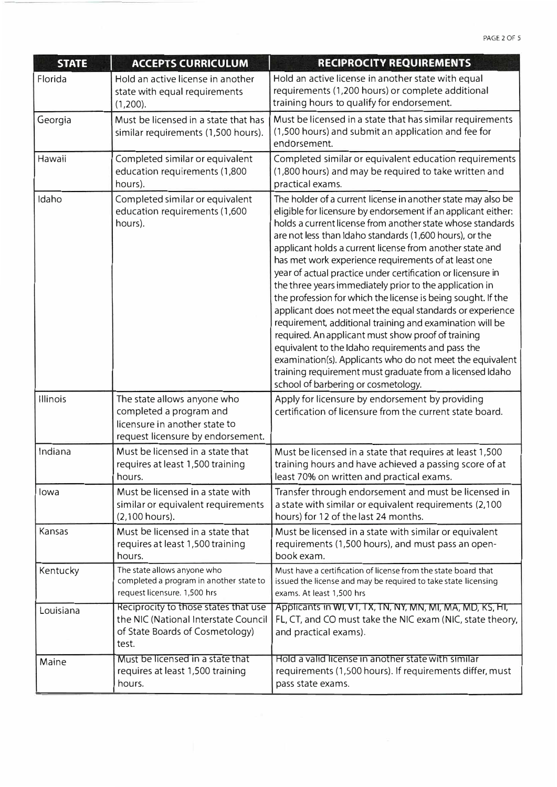| <b>STATE</b> | <b>ACCEPTS CURRICULUM</b>                                                                                                    | RECIPROCITY REQUIREMENTS                                                                                                                                                                                                                                                                                                                                                                                                                                                                                                                                                                                                                                                                                                                                                                                                                                                                                                                                                 |  |
|--------------|------------------------------------------------------------------------------------------------------------------------------|--------------------------------------------------------------------------------------------------------------------------------------------------------------------------------------------------------------------------------------------------------------------------------------------------------------------------------------------------------------------------------------------------------------------------------------------------------------------------------------------------------------------------------------------------------------------------------------------------------------------------------------------------------------------------------------------------------------------------------------------------------------------------------------------------------------------------------------------------------------------------------------------------------------------------------------------------------------------------|--|
| Florida      | Hold an active license in another<br>state with equal requirements<br>$(1,200)$ .                                            | Hold an active license in another state with equal<br>requirements (1,200 hours) or complete additional<br>training hours to qualify for endorsement.                                                                                                                                                                                                                                                                                                                                                                                                                                                                                                                                                                                                                                                                                                                                                                                                                    |  |
| Georgia      | Must be licensed in a state that has<br>similar requirements (1,500 hours).                                                  | Must be licensed in a state that has similar requirements<br>(1,500 hours) and submit an application and fee for<br>endorsement.                                                                                                                                                                                                                                                                                                                                                                                                                                                                                                                                                                                                                                                                                                                                                                                                                                         |  |
| Hawaii       | Completed similar or equivalent<br>education requirements (1,800<br>hours).                                                  | Completed similar or equivalent education requirements<br>(1,800 hours) and may be required to take written and<br>practical exams.                                                                                                                                                                                                                                                                                                                                                                                                                                                                                                                                                                                                                                                                                                                                                                                                                                      |  |
| Idaho        | Completed similar or equivalent<br>education requirements (1,600<br>hours).                                                  | The holder of a current license in another state may also be<br>eligible for licensure by endorsement if an applicant either:<br>holds a current license from another state whose standards<br>are not less than Idaho standards (1,600 hours), or the<br>applicant holds a current license from another state and<br>has met work experience requirements of at least one<br>year of actual practice under certification or licensure in<br>the three years immediately prior to the application in<br>the profession for which the license is being sought. If the<br>applicant does not meet the equal standards or experience<br>requirement, additional training and examination will be<br>required. An applicant must show proof of training<br>equivalent to the Idaho requirements and pass the<br>examination(s). Applicants who do not meet the equivalent<br>training requirement must graduate from a licensed Idaho<br>school of barbering or cosmetology. |  |
| Illinois     | The state allows anyone who<br>completed a program and<br>licensure in another state to<br>request licensure by endorsement. | Apply for licensure by endorsement by providing<br>certification of licensure from the current state board.                                                                                                                                                                                                                                                                                                                                                                                                                                                                                                                                                                                                                                                                                                                                                                                                                                                              |  |
| Indiana      | Must be licensed in a state that<br>requires at least 1,500 training<br>hours.                                               | Must be licensed in a state that requires at least 1,500<br>training hours and have achieved a passing score of at<br>least 70% on written and practical exams.                                                                                                                                                                                                                                                                                                                                                                                                                                                                                                                                                                                                                                                                                                                                                                                                          |  |
| lowa         | Must be licensed in a state with<br>similar or equivalent requirements<br>$(2,100$ hours).                                   | Transfer through endorsement and must be licensed in<br>a state with similar or equivalent requirements (2,100<br>hours) for 12 of the last 24 months.                                                                                                                                                                                                                                                                                                                                                                                                                                                                                                                                                                                                                                                                                                                                                                                                                   |  |
| Kansas       | Must be licensed in a state that<br>requires at least 1,500 training<br>hours.                                               | Must be licensed in a state with similar or equivalent<br>requirements (1,500 hours), and must pass an open-<br>book exam.                                                                                                                                                                                                                                                                                                                                                                                                                                                                                                                                                                                                                                                                                                                                                                                                                                               |  |
| Kentucky     | The state allows anyone who<br>completed a program in another state to<br>request licensure. 1,500 hrs                       | Must have a certification of license from the state board that<br>issued the license and may be required to take state licensing<br>exams. At least 1,500 hrs                                                                                                                                                                                                                                                                                                                                                                                                                                                                                                                                                                                                                                                                                                                                                                                                            |  |
| Louisiana    | Reciprocity to those states that use<br>the NIC (National Interstate Council<br>of State Boards of Cosmetology)<br>test.     | Applicants in WI, VT, TX, TN, NY, MN, MI, MA, MD, KS, HI,<br>FL, CT, and CO must take the NIC exam (NIC, state theory,  <br>and practical exams).                                                                                                                                                                                                                                                                                                                                                                                                                                                                                                                                                                                                                                                                                                                                                                                                                        |  |
| Maine        | Must be licensed in a state that<br>requires at least 1,500 training<br>hours.                                               | Hold a valid license in another state with similar<br>requirements (1,500 hours). If requirements differ, must<br>pass state exams.                                                                                                                                                                                                                                                                                                                                                                                                                                                                                                                                                                                                                                                                                                                                                                                                                                      |  |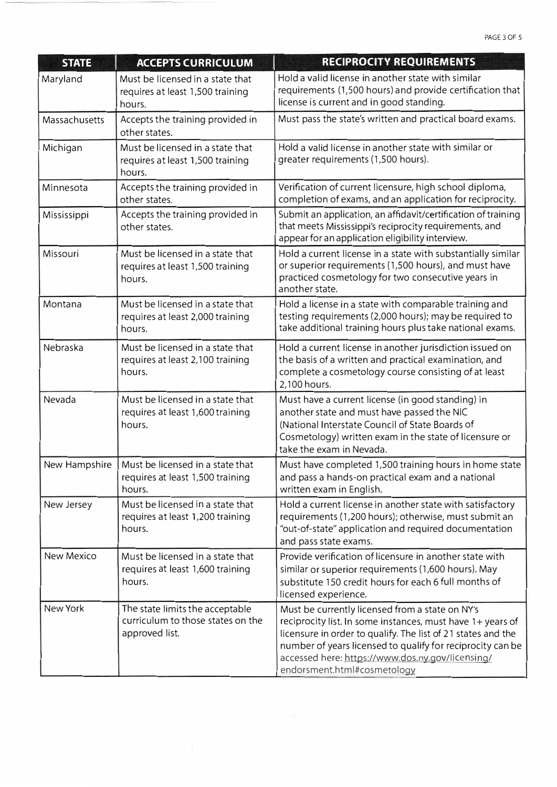| <b>STATE</b>      | <b>ACCEPTS CURRICULUM</b>                                                              | RECIPROCITY REQUIREMENTS                                                                                                                                                                                                                                                                                                       |  |
|-------------------|----------------------------------------------------------------------------------------|--------------------------------------------------------------------------------------------------------------------------------------------------------------------------------------------------------------------------------------------------------------------------------------------------------------------------------|--|
| Maryland          | Must be licensed in a state that<br>requires at least 1,500 training<br>hours.         | Hold a valid license in another state with similar<br>requirements (1,500 hours) and provide certification that<br>license is current and in good standing.                                                                                                                                                                    |  |
| Massachusetts     | Accepts the training provided in<br>other states.                                      | Must pass the state's written and practical board exams.                                                                                                                                                                                                                                                                       |  |
| Michigan          | Must be licensed in a state that<br>requires at least 1,500 training<br>hours.         | Hold a valid license in another state with similar or<br>greater requirements (1,500 hours).                                                                                                                                                                                                                                   |  |
| Minnesota         | Accepts the training provided in<br>other states.                                      | Verification of current licensure, high school diploma,<br>completion of exams, and an application for reciprocity.                                                                                                                                                                                                            |  |
| Mississippi       | Accepts the training provided in<br>other states.                                      | Submit an application, an affidavit/certification of training<br>that meets Mississippi's reciprocity requirements, and<br>appear for an application eligibility interview.                                                                                                                                                    |  |
| Missouri          | Must be licensed in a state that<br>requires at least 1,500 training<br>hours.         | Hold a current license in a state with substantially similar<br>or superior requirements (1,500 hours), and must have<br>practiced cosmetology for two consecutive years in<br>another state.                                                                                                                                  |  |
| Montana           | Must be licensed in a state that<br>requires at least 2,000 training<br>hours.         | Hold a license in a state with comparable training and<br>testing requirements (2,000 hours); may be required to<br>take additional training hours plus take national exams.                                                                                                                                                   |  |
| Nebraska          | Must be licensed in a state that<br>requires at least 2,100 training<br>hours.         | Hold a current license in another jurisdiction issued on<br>the basis of a written and practical examination, and<br>complete a cosmetology course consisting of at least<br>2,100 hours.                                                                                                                                      |  |
| Nevada            | Must be licensed in a state that<br>requires at least 1,600 training<br>hours.         | Must have a current license (in good standing) in<br>another state and must have passed the NIC<br>(National Interstate Council of State Boards of<br>Cosmetology) written exam in the state of licensure or<br>take the exam in Nevada.                                                                                       |  |
| New Hampshire     | Must be licensed in a state that<br>requires at least 1,500 training<br>hours.         | Must have completed 1,500 training hours in home state<br>and pass a hands-on practical exam and a national<br>written exam in English.                                                                                                                                                                                        |  |
| New Jersey        | Must be licensed in a state that<br>requires at least 1,200 training<br>hours.         | Hold a current license in another state with satisfactory<br>requirements (1,200 hours); otherwise, must submit an<br>"out-of-state" application and required documentation<br>and pass state exams.                                                                                                                           |  |
| <b>New Mexico</b> | Must be licensed in a state that<br>requires at least 1,600 training<br>hours.         | Provide verification of licensure in another state with<br>similar or superior requirements (1,600 hours). May<br>substitute 150 credit hours for each 6 full months of<br>licensed experience.                                                                                                                                |  |
| New York          | The state limits the acceptable<br>curriculum to those states on the<br>approved list. | Must be currently licensed from a state on NY's<br>reciprocity list. In some instances, must have 1+ years of<br>licensure in order to qualify. The list of 21 states and the<br>number of years licensed to qualify for reciprocity can be<br>accessed here: https://www.dos.ny.gov/licensing/<br>endorsment.html#cosmetology |  |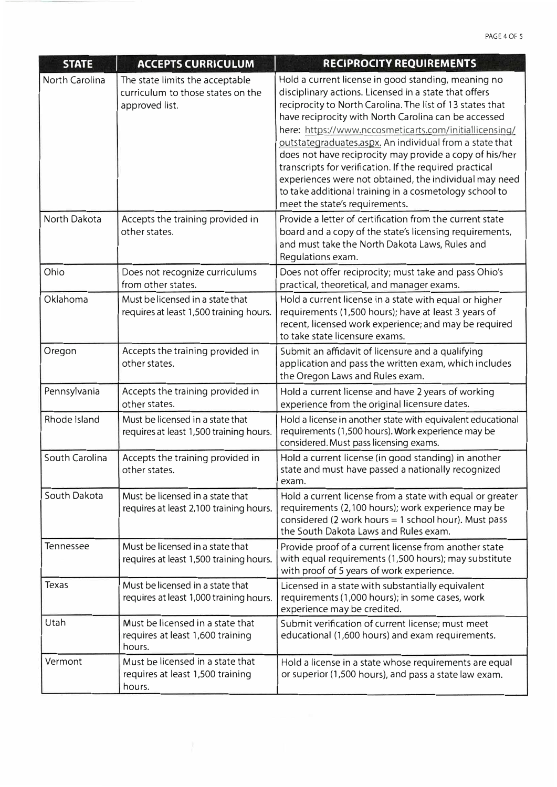| <b>STATE</b>   | <b>ACCEPTS CURRICULUM</b>                                                              | RECIPROCITY REQUIREMENTS                                                                                                                                                                                                                                                                                                                                                                                                                                                                                                                                                                                                           |  |
|----------------|----------------------------------------------------------------------------------------|------------------------------------------------------------------------------------------------------------------------------------------------------------------------------------------------------------------------------------------------------------------------------------------------------------------------------------------------------------------------------------------------------------------------------------------------------------------------------------------------------------------------------------------------------------------------------------------------------------------------------------|--|
| North Carolina | The state limits the acceptable<br>curriculum to those states on the<br>approved list. | Hold a current license in good standing, meaning no<br>disciplinary actions. Licensed in a state that offers<br>reciprocity to North Carolina. The list of 13 states that<br>have reciprocity with North Carolina can be accessed<br>here: https://www.nccosmeticarts.com/initiallicensing/<br>outstategraduates.aspx. An individual from a state that<br>does not have reciprocity may provide a copy of his/her<br>transcripts for verification. If the required practical<br>experiences were not obtained, the individual may need<br>to take additional training in a cosmetology school to<br>meet the state's requirements. |  |
| North Dakota   | Accepts the training provided in<br>other states.                                      | Provide a letter of certification from the current state<br>board and a copy of the state's licensing requirements,<br>and must take the North Dakota Laws, Rules and<br>Regulations exam.                                                                                                                                                                                                                                                                                                                                                                                                                                         |  |
| Ohio           | Does not recognize curriculums<br>from other states.                                   | Does not offer reciprocity; must take and pass Ohio's<br>practical, theoretical, and manager exams.                                                                                                                                                                                                                                                                                                                                                                                                                                                                                                                                |  |
| Oklahoma       | Must be licensed in a state that<br>requires at least 1,500 training hours.            | Hold a current license in a state with equal or higher<br>requirements (1,500 hours); have at least 3 years of<br>recent, licensed work experience; and may be required<br>to take state licensure exams.                                                                                                                                                                                                                                                                                                                                                                                                                          |  |
| Oregon         | Accepts the training provided in<br>other states.                                      | Submit an affidavit of licensure and a qualifying<br>application and pass the written exam, which includes<br>the Oregon Laws and Rules exam.                                                                                                                                                                                                                                                                                                                                                                                                                                                                                      |  |
| Pennsylvania   | Accepts the training provided in<br>other states.                                      | Hold a current license and have 2 years of working<br>experience from the original licensure dates.                                                                                                                                                                                                                                                                                                                                                                                                                                                                                                                                |  |
| Rhode Island   | Must be licensed in a state that<br>requires at least 1,500 training hours.            | Hold a license in another state with equivalent educational<br>requirements (1,500 hours). Work experience may be<br>considered. Must pass licensing exams.                                                                                                                                                                                                                                                                                                                                                                                                                                                                        |  |
| South Carolina | Accepts the training provided in<br>other states.                                      | Hold a current license (in good standing) in another<br>state and must have passed a nationally recognized<br>exam.                                                                                                                                                                                                                                                                                                                                                                                                                                                                                                                |  |
| South Dakota   | Must be licensed in a state that<br>requires at least 2,100 training hours.            | Hold a current license from a state with equal or greater<br>requirements (2,100 hours); work experience may be<br>considered (2 work hours $=$ 1 school hour). Must pass<br>the South Dakota Laws and Rules exam.                                                                                                                                                                                                                                                                                                                                                                                                                 |  |
| Tennessee      | Must be licensed in a state that<br>requires at least 1,500 training hours.            | Provide proof of a current license from another state<br>with equal requirements (1,500 hours); may substitute<br>with proof of 5 years of work experience.                                                                                                                                                                                                                                                                                                                                                                                                                                                                        |  |
| Texas          | Must be licensed in a state that<br>requires at least 1,000 training hours.            | Licensed in a state with substantially equivalent<br>requirements (1,000 hours); in some cases, work<br>experience may be credited.                                                                                                                                                                                                                                                                                                                                                                                                                                                                                                |  |
| <b>Utah</b>    | Must be licensed in a state that<br>requires at least 1,600 training<br>hours.         | Submit verification of current license; must meet<br>educational (1,600 hours) and exam requirements.                                                                                                                                                                                                                                                                                                                                                                                                                                                                                                                              |  |
| Vermont        | Must be licensed in a state that<br>requires at least 1,500 training<br>hours.         | Hold a license in a state whose requirements are equal<br>or superior (1,500 hours), and pass a state law exam.                                                                                                                                                                                                                                                                                                                                                                                                                                                                                                                    |  |

 $\mathbb{R}^n$  . The same  $\mathbb{R}^n$